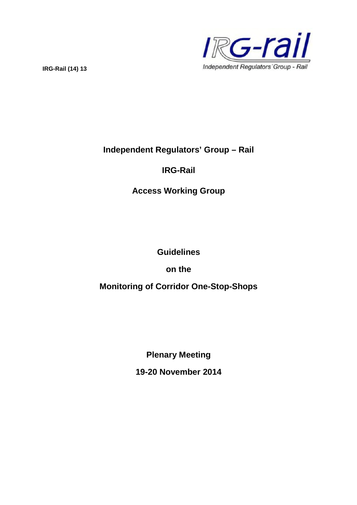

# **Independent Regulators' Group – Rail**

# **IRG-Rail**

# **Access Working Group**

# **Guidelines**

# **on the**

# **Monitoring of Corridor One-Stop-Shops**

**Plenary Meeting**

**19-20 November 2014**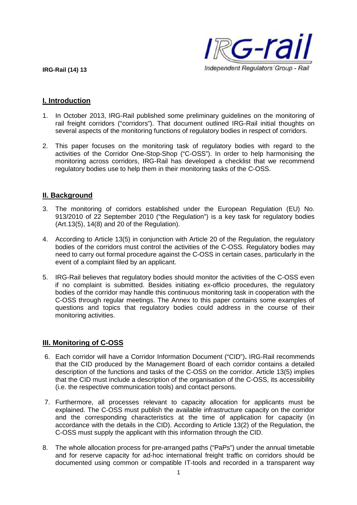



## **I. Introduction**

- 1. In October 2013, IRG-Rail published some preliminary guidelines on the monitoring of rail freight corridors ("corridors"). That document outlined IRG-Rail initial thoughts on several aspects of the monitoring functions of regulatory bodies in respect of corridors.
- 2. This paper focuses on the monitoring task of regulatory bodies with regard to the activities of the Corridor One-Stop-Shop ("C-OSS"). In order to help harmonising the monitoring across corridors, IRG-Rail has developed a checklist that we recommend regulatory bodies use to help them in their monitoring tasks of the C-OSS.

## **II. Background**

- 3. The monitoring of corridors established under the European Regulation (EU) No. 913/2010 of 22 September 2010 ("the Regulation") is a key task for regulatory bodies (Art.13(5), 14(8) and 20 of the Regulation).
- 4. According to Article 13(5) in conjunction with Article 20 of the Regulation, the regulatory bodies of the corridors must control the activities of the C-OSS. Regulatory bodies may need to carry out formal procedure against the C-OSS in certain cases, particularly in the event of a complaint filed by an applicant.
- 5. IRG-Rail believes that regulatory bodies should monitor the activities of the C-OSS even if no complaint is submitted. Besides initiating ex-officio procedures, the regulatory bodies of the corridor may handle this continuous monitoring task in cooperation with the C-OSS through regular meetings. The Annex to this paper contains some examples of questions and topics that regulatory bodies could address in the course of their monitoring activities.

## **III. Monitoring of C-OSS**

- 6. Each corridor will have a Corridor Information Document ("CID")**.** IRG-Rail recommends that the CID produced by the Management Board of each corridor contains a detailed description of the functions and tasks of the C-OSS on the corridor. Article 13(5) implies that the CID must include a description of the organisation of the C-OSS, its accessibility (i.e. the respective communication tools) and contact persons.
- 7. Furthermore, all processes relevant to capacity allocation for applicants must be explained. The C-OSS must publish the available infrastructure capacity on the corridor and the corresponding characteristics at the time of application for capacity (in accordance with the details in the CID). According to Article 13(2) of the Regulation, the C-OSS must supply the applicant with this information through the CID.
- 8. The whole allocation process for pre-arranged paths ("PaPs") under the annual timetable and for reserve capacity for ad-hoc international freight traffic on corridors should be documented using common or compatible IT-tools and recorded in a transparent way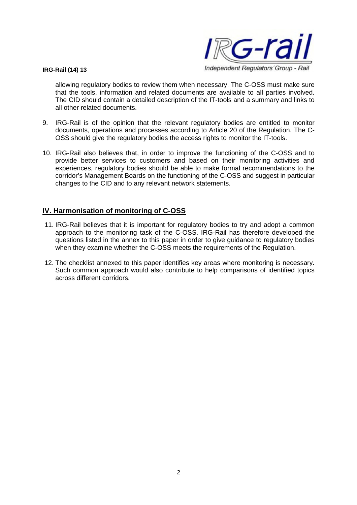

allowing regulatory bodies to review them when necessary. The C-OSS must make sure that the tools, information and related documents are available to all parties involved. The CID should contain a detailed description of the IT-tools and a summary and links to all other related documents.

- 9. IRG-Rail is of the opinion that the relevant regulatory bodies are entitled to monitor documents, operations and processes according to Article 20 of the Regulation. The C-OSS should give the regulatory bodies the access rights to monitor the IT-tools.
- 10. IRG-Rail also believes that, in order to improve the functioning of the C-OSS and to provide better services to customers and based on their monitoring activities and experiences, regulatory bodies should be able to make formal recommendations to the corridor's Management Boards on the functioning of the C-OSS and suggest in particular changes to the CID and to any relevant network statements.

## **IV. Harmonisation of monitoring of C-OSS**

- 11. IRG-Rail believes that it is important for regulatory bodies to try and adopt a common approach to the monitoring task of the C-OSS. IRG-Rail has therefore developed the questions listed in the annex to this paper in order to give guidance to regulatory bodies when they examine whether the C-OSS meets the requirements of the Regulation.
- 12. The checklist annexed to this paper identifies key areas where monitoring is necessary. Such common approach would also contribute to help comparisons of identified topics across different corridors.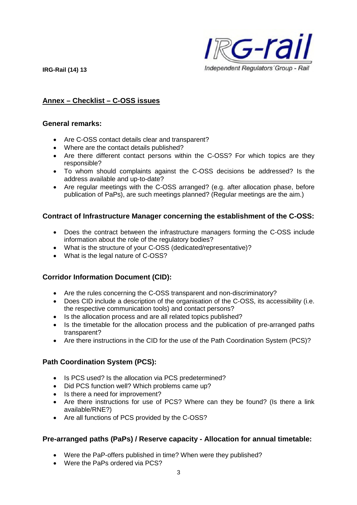

# **Annex – Checklist – C-OSS issues**

#### **General remarks:**

- Are C-OSS contact details clear and transparent?
- Where are the contact details published?
- Are there different contact persons within the C-OSS? For which topics are they responsible?
- To whom should complaints against the C-OSS decisions be addressed? Is the address available and up-to-date?
- Are regular meetings with the C-OSS arranged? (e.g. after allocation phase, before publication of PaPs), are such meetings planned? (Regular meetings are the aim.)

## **Contract of Infrastructure Manager concerning the establishment of the C-OSS:**

- Does the contract between the infrastructure managers forming the C-OSS include information about the role of the regulatory bodies?
- What is the structure of your C-OSS (dedicated/representative)?
- What is the legal nature of C-OSS?

## **Corridor Information Document (CID):**

- Are the rules concerning the C-OSS transparent and non-discriminatory?
- Does CID include a description of the organisation of the C-OSS, its accessibility (i.e. the respective communication tools) and contact persons?
- Is the allocation process and are all related topics published?
- Is the timetable for the allocation process and the publication of pre-arranged paths transparent?
- Are there instructions in the CID for the use of the Path Coordination System (PCS)?

## **Path Coordination System (PCS):**

- Is PCS used? Is the allocation via PCS predetermined?
- Did PCS function well? Which problems came up?
- Is there a need for improvement?
- Are there instructions for use of PCS? Where can they be found? (Is there a link available/RNE?)
- Are all functions of PCS provided by the C-OSS?

# **Pre-arranged paths (PaPs) / Reserve capacity - Allocation for annual timetable:**

- Were the PaP-offers published in time? When were they published?
- Were the PaPs ordered via PCS?